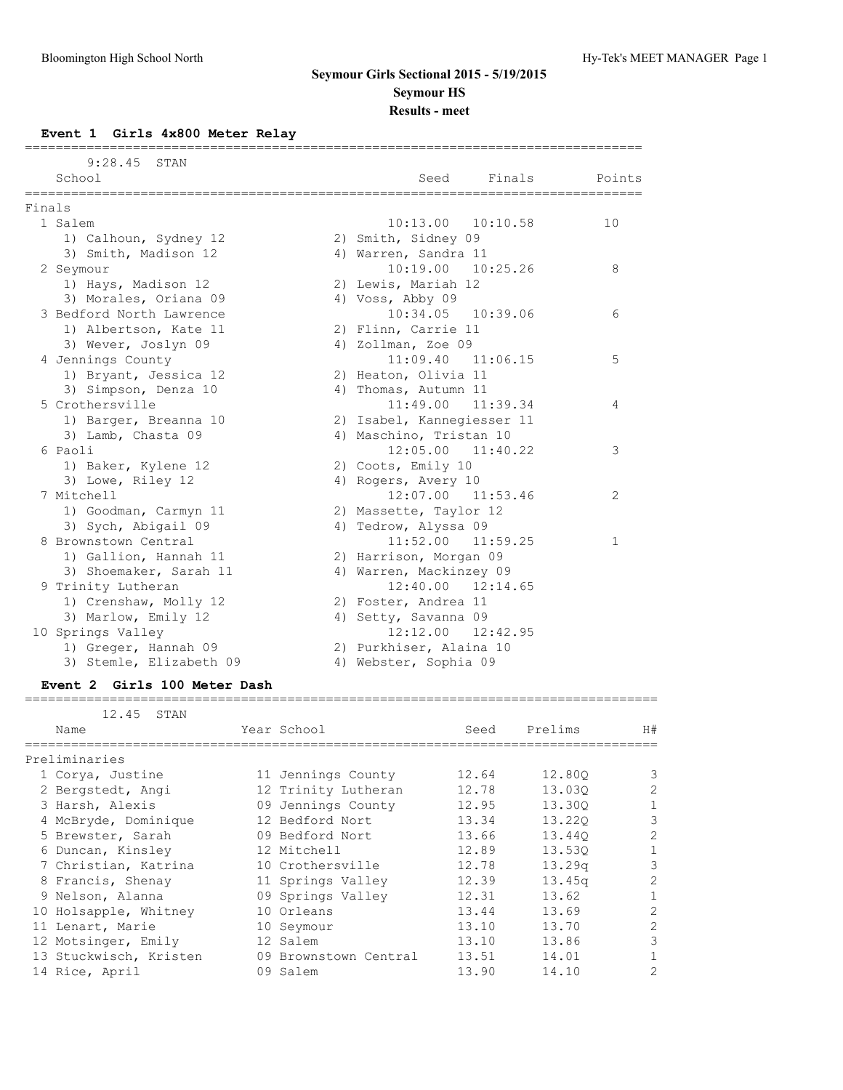## **Event 1 Girls 4x800 Meter Relay**

|        | $9:28.45$ STAN           |                            |              |
|--------|--------------------------|----------------------------|--------------|
|        | School                   | Finals<br>Seed             | Points       |
| Finals | =========                |                            |              |
|        | 1 Salem                  | $10:13.00$ $10:10.58$      | 10           |
|        | 1) Calhoun, Sydney 12    | 2) Smith, Sidney 09        |              |
|        | 3) Smith, Madison 12     | 4) Warren, Sandra 11       |              |
|        | 2 Seymour                | 10:19.00 10:25.26          | 8            |
|        | 1) Hays, Madison 12      | 2) Lewis, Mariah 12        |              |
|        | 3) Morales, Oriana 09    | 4) Voss, Abby 09           |              |
|        | 3 Bedford North Lawrence | 10:34.05 10:39.06          | 6            |
|        | 1) Albertson, Kate 11    | 2) Flinn, Carrie 11        |              |
|        | 3) Wever, Joslyn 09      | 4) Zollman, Zoe 09         |              |
|        | 4 Jennings County        | $11:09.40$ $11:06.15$      | 5            |
|        | 1) Bryant, Jessica 12    | 2) Heaton, Olivia 11       |              |
|        | 3) Simpson, Denza 10     | 4) Thomas, Autumn 11       |              |
|        | 5 Crothersville          | 11:49.00 11:39.34          | 4            |
|        | 1) Barger, Breanna 10    | 2) Isabel, Kannegiesser 11 |              |
|        | 3) Lamb, Chasta 09       | 4) Maschino, Tristan 10    |              |
|        | 6 Paoli                  | $12:05.00$ $11:40.22$      | 3            |
|        | 1) Baker, Kylene 12      | 2) Coots, Emily 10         |              |
|        | 3) Lowe, Riley 12        | 4) Rogers, Avery 10        |              |
|        | 7 Mitchell               | $12:07.00$ $11:53.46$      | 2            |
|        | 1) Goodman, Carmyn 11    | 2) Massette, Taylor 12     |              |
|        | 3) Sych, Abigail 09      | 4) Tedrow, Alyssa 09       |              |
|        | 8 Brownstown Central     | 11:52.00<br>11:59.25       | $\mathbf{1}$ |
|        | 1) Gallion, Hannah 11    | 2) Harrison, Morgan 09     |              |
|        | 3) Shoemaker, Sarah 11   | 4) Warren, Mackinzey 09    |              |
|        | 9 Trinity Lutheran       | $12:40.00$ $12:14.65$      |              |
|        | 1) Crenshaw, Molly 12    | 2) Foster, Andrea 11       |              |
|        | 3) Marlow, Emily 12      | 4) Setty, Savanna 09       |              |
|        | 10 Springs Valley        | 12:12.00<br>12:42.95       |              |
|        | 1) Greger, Hannah 09     | 2) Purkhiser, Alaina 10    |              |
|        | 3) Stemle, Elizabeth 09  | 4) Webster, Sophia 09      |              |

## **Event 2 Girls 100 Meter Dash**

#### ==================================================================================

| 12.45 STAN             |                       |       |                    |                |
|------------------------|-----------------------|-------|--------------------|----------------|
| Name                   | Year School           | Seed  | Prelims            | H#             |
| Preliminaries          |                       |       |                    |                |
| 1 Corya, Justine       | 11 Jennings County    | 12.64 | 12,800             | 3              |
| 2 Bergstedt, Angi      | 12 Trinity Lutheran   | 12.78 | 13.030             | $\overline{2}$ |
| 3 Harsh, Alexis        | 09 Jennings County    | 12.95 | 13.300             |                |
| 4 McBryde, Dominique   | 12 Bedford Nort       | 13.34 | 13.220             | 3              |
| 5 Brewster, Sarah      | 09 Bedford Nort       | 13.66 | 13.440             | 2              |
| 6 Duncan, Kinsley      | 12 Mitchell           | 12.89 | 13.530             |                |
| 7 Christian, Katrina   | 10 Crothersville      | 12.78 | 13.29 <sub>q</sub> | 3              |
| 8 Francis, Shenay      | 11 Springs Valley     | 12.39 | 13.45q             | 2              |
| 9 Nelson, Alanna       | 09 Springs Valley     | 12.31 | 13.62              |                |
| 10 Holsapple, Whitney  | 10 Orleans            | 13.44 | 13.69              | $\overline{2}$ |
| 11 Lenart, Marie       | 10 Seymour            | 13.10 | 13.70              | $\overline{2}$ |
| 12 Motsinger, Emily    | 12 Salem              | 13.10 | 13.86              | 3              |
| 13 Stuckwisch, Kristen | 09 Brownstown Central | 13.51 | 14.01              |                |
| 14 Rice, April         | 09 Salem              | 13.90 | 14.10              |                |
|                        |                       |       |                    |                |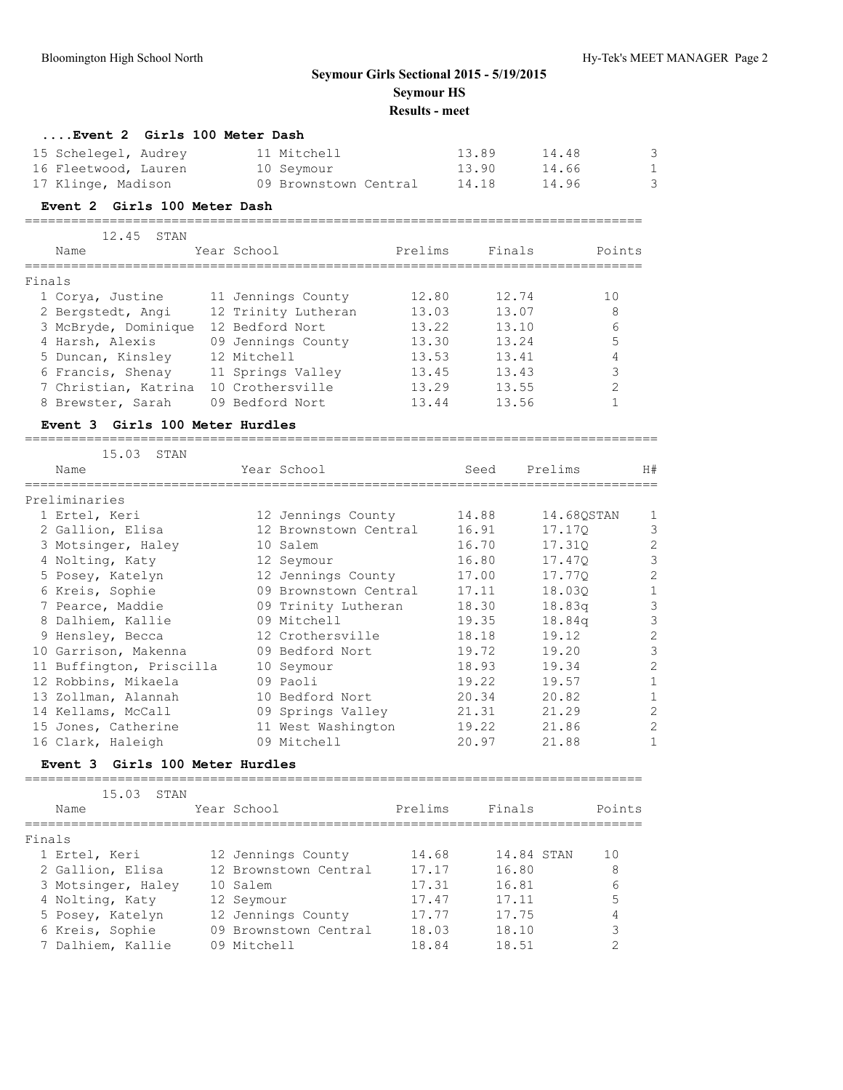|        | Event 2 Girls 100 Meter Dash                                       |                                                    |         |                         |                         |                           |                     |
|--------|--------------------------------------------------------------------|----------------------------------------------------|---------|-------------------------|-------------------------|---------------------------|---------------------|
|        | 15 Schelegel, Audrey<br>16 Fleetwood, Lauren<br>17 Klinge, Madison | 11 Mitchell<br>10 Seymour<br>09 Brownstown Central |         | 13.89<br>13.90<br>14.18 | 14.48<br>14.66<br>14.96 |                           | 3<br>1<br>3         |
|        | Event 2 Girls 100 Meter Dash                                       |                                                    |         |                         |                         |                           |                     |
|        | 12.45<br>STAN                                                      |                                                    |         |                         |                         |                           |                     |
|        | Name                                                               | Year School                                        | Prelims | Finals                  |                         | Points                    |                     |
| Finals |                                                                    |                                                    |         |                         |                         |                           |                     |
|        | 1 Corya, Justine                                                   | 11 Jennings County                                 | 12.80   | 12.74                   |                         | 10                        |                     |
|        | 2 Bergstedt, Angi                                                  | 12 Trinity Lutheran                                | 13.03   | 13.07                   |                         | 8                         |                     |
|        | 3 McBryde, Dominique                                               | 12 Bedford Nort                                    | 13.22   | 13.10                   |                         | 6                         |                     |
|        | 4 Harsh, Alexis                                                    | 09 Jennings County                                 | 13.30   | 13.24                   |                         | 5                         |                     |
|        | 5 Duncan, Kinsley                                                  | 12 Mitchell                                        | 13.53   | 13.41                   |                         | $\overline{4}$            |                     |
|        | 6 Francis, Shenay                                                  | 11 Springs Valley                                  | 13.45   | 13.43                   |                         | $\ensuremath{\mathsf{3}}$ |                     |
|        | 7 Christian, Katrina                                               | 10 Crothersville                                   | 13.29   | 13.55                   |                         | $\mathbf{2}$              |                     |
|        | 8 Brewster, Sarah                                                  | 09 Bedford Nort                                    | 13.44   | 13.56                   |                         | $\mathbf{1}$              |                     |
|        | Event 3 Girls 100 Meter Hurdles                                    |                                                    |         |                         |                         |                           |                     |
|        | 15.03 STAN                                                         |                                                    |         |                         |                         |                           |                     |
|        | Name                                                               | Year School                                        |         | Seed                    | Prelims                 |                           | H#                  |
|        | Preliminaries                                                      |                                                    |         |                         |                         |                           |                     |
|        | 1 Ertel, Keri                                                      | 12 Jennings County                                 |         | 14.88                   | 14.68QSTAN              |                           | 1                   |
|        | 2 Gallion, Elisa                                                   | 12 Brownstown Central                              |         | 16.91                   | 17.170                  |                           | 3                   |
|        | 3 Motsinger, Haley                                                 | 10 Salem                                           |         | 16.70                   | 17.31Q                  |                           | $\overline{c}$      |
|        | 4 Nolting, Katy                                                    | 12 Seymour                                         |         | 16.80                   | 17.47Q                  |                           | 3                   |
|        | 5 Posey, Katelyn                                                   | 12 Jennings County                                 |         | 17.00                   | 17.77Q                  |                           | $\overline{c}$      |
|        | 6 Kreis, Sophie                                                    | 09 Brownstown Central                              |         | 17.11                   | 18.030                  |                           | $\mathbf{1}$        |
|        | 7 Pearce, Maddie                                                   | 09 Trinity Lutheran                                |         | 18.30                   | 18.83q                  |                           | $\mathcal{S}$       |
|        | 8 Dalhiem, Kallie                                                  | 09 Mitchell                                        |         | 19.35                   | 18.84q                  |                           | $\mathcal{S}$       |
|        | 9 Hensley, Becca                                                   | 12 Crothersville                                   |         | 18.18                   | 19.12                   |                           | $\mathbf{2}$        |
|        | 10 Garrison, Makenna                                               | 09 Bedford Nort                                    |         | 19.72<br>18.93          | 19.20                   |                           | 3<br>$\overline{c}$ |
|        | 11 Buffington, Priscilla<br>12 Robbins, Mikaela                    | 10 Seymour<br>09 Paoli                             |         | 19.22                   | 19.34<br>19.57          |                           | $\mathbf{1}$        |
|        | 13 Zollman, Alannah                                                | 10 Bedford Nort                                    |         | 20.34                   | 20.82                   |                           | 1                   |
|        | 14 Kellams, McCall                                                 | 09 Springs Valley                                  |         | 21.31                   | 21.29                   |                           | $\overline{c}$      |
|        | 15 Jones, Catherine                                                | 11 West Washington                                 |         | 19.22                   | 21.86                   |                           | $\overline{c}$      |
|        | 16 Clark, Haleigh                                                  | 09 Mitchell                                        |         | 20.97                   | 21.88                   |                           | 1                   |
|        | Event 3 Girls 100 Meter Hurdles                                    |                                                    |         |                         |                         |                           |                     |
|        | 15.03<br>STAN                                                      |                                                    |         |                         |                         |                           |                     |
|        | Name                                                               | Year School                                        | Prelims | Finals                  |                         | Points                    |                     |
| Finals |                                                                    |                                                    |         |                         |                         |                           |                     |
|        | 1 Ertel, Keri                                                      | 12 Jennings County                                 | 14.68   |                         | 14.84 STAN              | 10                        |                     |
|        | 2 Gallion, Elisa                                                   | 12 Brownstown Central                              | 17.17   | 16.80                   |                         | 8                         |                     |
|        | 3 Motsinger, Haley                                                 | 10 Salem                                           | 17.31   | 16.81                   |                         | 6                         |                     |
|        | 4 Nolting, Katy                                                    | 12 Seymour                                         | 17.47   | 17.11                   |                         | 5                         |                     |
|        | 5 Posey, Katelyn                                                   | 12 Jennings County                                 | 17.77   | 17.75                   |                         | 4                         |                     |
|        | 6 Kreis, Sophie                                                    | 09 Brownstown Central                              | 18.03   | 18.10                   |                         | 3                         |                     |
|        | 7 Dalhiem, Kallie                                                  | 09 Mitchell                                        | 18.84   | 18.51                   |                         | 2                         |                     |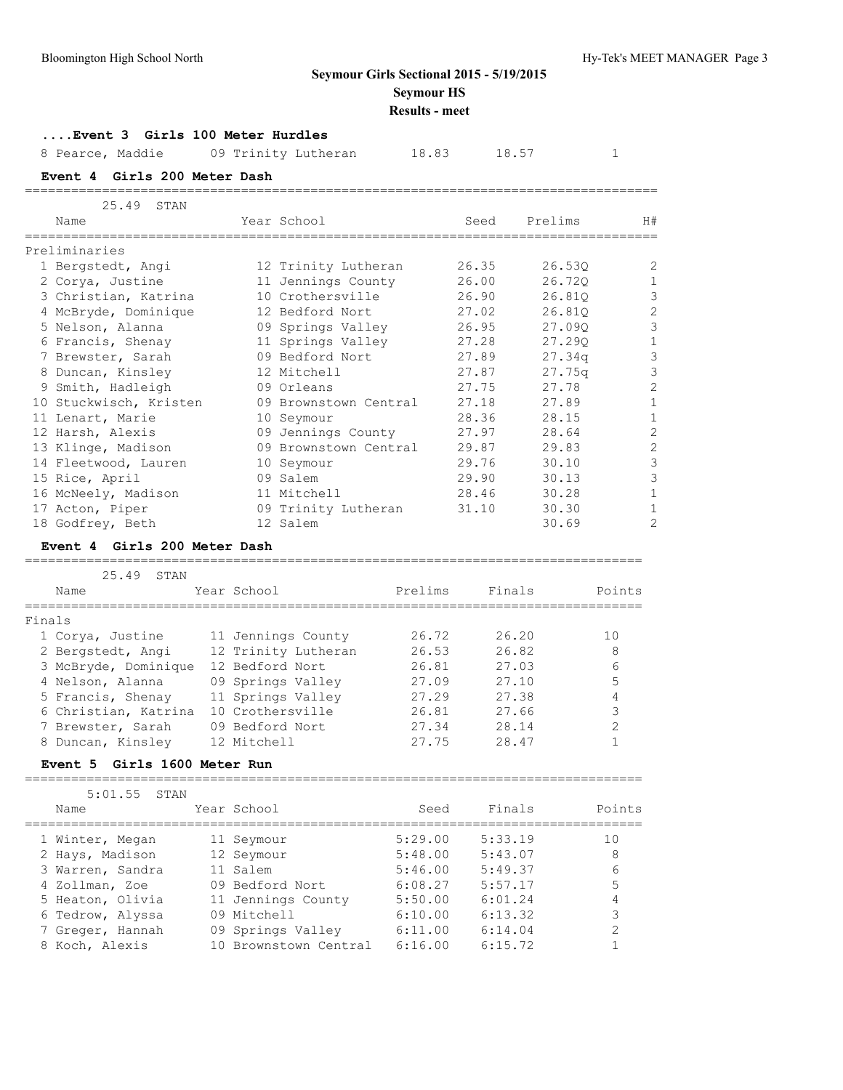## **....Event 3 Girls 100 Meter Hurdles**

8 Pearce, Maddie  $09$  Trinity Lutheran 18.83 18.57 1

==================================================================================

**Event 4 Girls 200 Meter Dash**

| 25.49 STAN             |                       |       |         |                |
|------------------------|-----------------------|-------|---------|----------------|
| Name                   | Year School           | Seed  | Prelims | H#             |
| Preliminaries          |                       |       |         |                |
| 1 Bergstedt, Angi      | 12 Trinity Lutheran   | 26.35 | 26.53Q  | 2              |
| 2 Corya, Justine       | 11 Jennings County    | 26.00 | 26.720  | $\mathbf{1}$   |
| 3 Christian, Katrina   | 10 Crothersville      | 26.90 | 26.810  | $\mathfrak{Z}$ |
| 4 McBryde, Dominique   | 12 Bedford Nort       | 27.02 | 26.810  | $\mathbf{2}$   |
| 5 Nelson, Alanna       | 09 Springs Valley     | 26.95 | 27.090  | 3              |
| 6 Francis, Shenay      | 11 Springs Valley     | 27.28 | 27.290  | $\mathbf{1}$   |
| 7 Brewster, Sarah      | 09 Bedford Nort       | 27.89 | 27.34q  | $\mathcal{S}$  |
| 8 Duncan, Kinsley      | 12 Mitchell           | 27.87 | 27.75q  | $\mathfrak{Z}$ |
| 9 Smith, Hadleigh      | 09 Orleans            | 27.75 | 27.78   | $\overline{c}$ |
| 10 Stuckwisch, Kristen | 09 Brownstown Central | 27.18 | 27.89   | $\mathbf{1}$   |
| 11 Lenart, Marie       | 10 Seymour            | 28.36 | 28.15   | $\mathbf{1}$   |
| 12 Harsh, Alexis       | 09 Jennings County    | 27.97 | 28.64   | $\overline{c}$ |
| 13 Klinge, Madison     | 09 Brownstown Central | 29.87 | 29.83   | $\mathbf{2}$   |
| 14 Fleetwood, Lauren   | 10 Seymour            | 29.76 | 30.10   | $\mathfrak{Z}$ |
| 15 Rice, April         | 09 Salem              | 29.90 | 30.13   | 3              |
| 16 McNeely, Madison    | 11 Mitchell           | 28.46 | 30.28   | $\mathbf{1}$   |
| 17 Acton, Piper        | 09 Trinity Lutheran   | 31.10 | 30.30   | $\mathbf{1}$   |
| 18 Godfrey, Beth       | 12 Salem              |       | 30.69   | 2              |

### **Event 4 Girls 200 Meter Dash**

#### ================================================================================

|                      | 25.49 | STAN |                     |         |        |        |
|----------------------|-------|------|---------------------|---------|--------|--------|
| Name                 |       |      | Year School         | Prelims | Finals | Points |
| Finals               |       |      |                     |         |        |        |
| 1 Corya, Justine     |       |      | 11 Jennings County  | 26.72   | 26.20  | 10     |
| 2 Bergstedt, Angi    |       |      | 12 Trinity Lutheran | 26.53   | 26.82  | 8      |
| 3 McBryde, Dominique |       |      | 12 Bedford Nort     | 26.81   | 27.03  | 6      |
| 4 Nelson, Alanna     |       |      | 09 Springs Valley   | 27.09   | 27.10  |        |
| 5 Francis, Shenay    |       |      | 11 Springs Valley   | 27.29   | 27.38  |        |
| 6 Christian, Katrina |       |      | 10 Crothersville    | 26.81   | 27.66  | 3      |
| 7 Brewster, Sarah    |       |      | 09 Bedford Nort     | 27.34   | 28.14  | っ      |
| 8 Duncan, Kinslev    |       |      | 12 Mitchell         | 27.75   | 28.47  |        |

#### **Event 5 Girls 1600 Meter Run**

================================================================================

| 5:01.55<br>STAN  |                       |         |         |        |
|------------------|-----------------------|---------|---------|--------|
| Name             | Year School           | Seed    | Finals  | Points |
| 1 Winter, Megan  | 11 Seymour            | 5:29.00 | 5:33.19 | 10     |
| 2 Hays, Madison  | 12 Seymour            | 5:48.00 | 5:43.07 | 8      |
| 3 Warren, Sandra | 11 Salem              | 5:46.00 | 5:49.37 | 6      |
| 4 Zollman, Zoe   | 09 Bedford Nort       | 6:08.27 | 5:57.17 | 5      |
| 5 Heaton, Olivia | 11 Jennings County    | 5:50.00 | 6:01.24 |        |
| 6 Tedrow, Alyssa | 09 Mitchell           | 6:10.00 | 6:13.32 |        |
| 7 Greger, Hannah | 09 Springs Valley     | 6:11.00 | 6:14.04 | ◠      |
| 8 Koch, Alexis   | 10 Brownstown Central | 6:16.00 | 6:15.72 |        |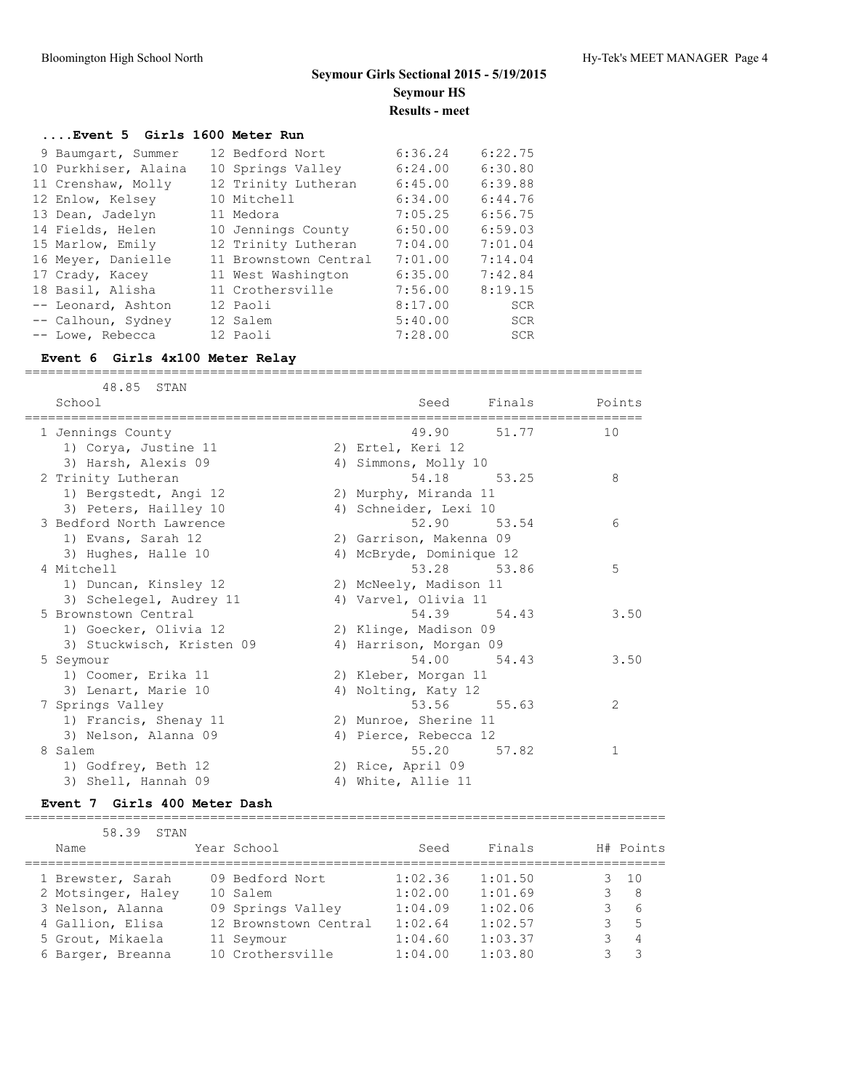#### **....Event 5 Girls 1600 Meter Run**

| 9 Baumgart, Summer   | 12 Bedford Nort       | 6:36.24 | 6:22.75    |
|----------------------|-----------------------|---------|------------|
| 10 Purkhiser, Alaina | 10 Springs Valley     | 6:24.00 | 6:30.80    |
| 11 Crenshaw, Molly   | 12 Trinity Lutheran   | 6:45.00 | 6:39.88    |
| 12 Enlow, Kelsey     | 10 Mitchell           | 6:34.00 | 6:44.76    |
| 13 Dean, Jadelyn     | 11 Medora             | 7:05.25 | 6:56.75    |
| 14 Fields, Helen     | 10 Jennings County    | 6:50.00 | 6:59.03    |
| 15 Marlow, Emily     | 12 Trinity Lutheran   | 7:04.00 | 7:01.04    |
| 16 Meyer, Danielle   | 11 Brownstown Central | 7:01.00 | 7:14.04    |
| 17 Crady, Kacey      | 11 West Washington    | 6:35.00 | 7:42.84    |
| 18 Basil, Alisha     | 11 Crothersville      | 7:56.00 | 8:19.15    |
| -- Leonard, Ashton   | 12 Paoli              | 8:17.00 | SCR        |
| -- Calhoun, Sydney   | 12 Salem              | 5:40.00 | <b>SCR</b> |
| -- Lowe, Rebecca     | 12 Paoli              | 7:28.00 | <b>SCR</b> |

#### **Event 6 Girls 4x100 Meter Relay** ================================================================================

 48.85 STAN School School Seed Finals Points ================================================================================ 1 Jennings County 49.90 51.77 10 1) Corya, Justine 11 2) Ertel, Keri 12 3) Harsh, Alexis 09 (4) Almmons, Molly 10 2 Trinity Lutheran 54.18 53.25 8 1) Bergstedt, Angi 12 2) Murphy, Miranda 11 3) Peters, Hailley 10 4) Schneider, Lexi 10 3 Bedford North Lawrence 52.90 53.54 6 1) Evans, Sarah 12 2) Garrison, Makenna 09 3) Hughes, Halle 10 4) McBryde, Dominique 12 4 Mitchell 53.28 53.86 5 1) Duncan, Kinsley 12 2) McNeely, Madison 11 3) Schelegel, Audrey 11 (4) Varvel, Olivia 11 5 Brownstown Central 54.39 54.43 3.50 1) Goecker, Olivia 12 2) Klinge, Madison 09 3) Stuckwisch, Kristen 09 4) Harrison, Morgan 09 5 Seymour 54.00 54.43 3.50 1) Coomer, Erika 11 2) Kleber, Morgan 11 3) Lenart, Marie 10 4) Nolting, Katy 12 7 Springs Valley 53.56 55.63 2 1) Francis, Shenay 11 2) Munroe, Sherine 11 3) Nelson, Alanna 09 4) Pierce, Rebecca 12 8 Salem 55.20 57.82 1 1) Godfrey, Beth 12 2) Rice, April 09 3) Shell, Hannah 09 4) White, Allie 11

#### **Event 7 Girls 400 Meter Dash**

| 58.39 STAN         |                       |         |         |                |
|--------------------|-----------------------|---------|---------|----------------|
| Name               | Year School           | Seed    | Finals  | H# Points      |
|                    |                       |         |         |                |
| 1 Brewster, Sarah  | 09 Bedford Nort       | 1:02.36 | 1:01.50 | $3 \quad 10$   |
| 2 Motsinger, Haley | 10 Salem              | 1:02.00 | 1:01.69 | -8             |
| 3 Nelson, Alanna   | 09 Springs Valley     | 1:04.09 | 1:02.06 | 6              |
| 4 Gallion, Elisa   | 12 Brownstown Central | 1:02.64 | 1:02.57 | -5             |
| 5 Grout, Mikaela   | 11 Seymour            | 1:04.60 | 1:03.37 | $\overline{4}$ |
| 6 Barger, Breanna  | 10 Crothersville      | 1:04.00 | 1:03.80 | -3             |

===================================================================================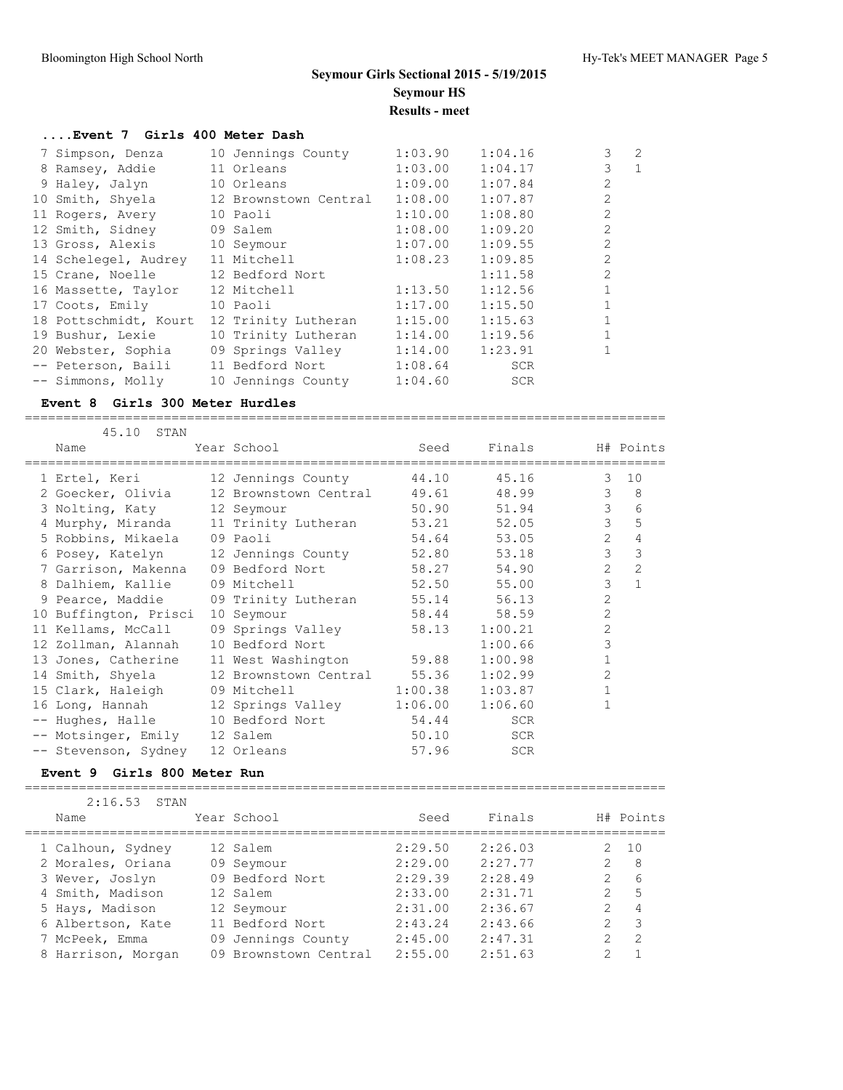## **....Event 7 Girls 400 Meter Dash**

| 7 Simpson, Denza      | 10 Jennings County    | 1:03.90 | 1:04.16    | 3              | 2            |
|-----------------------|-----------------------|---------|------------|----------------|--------------|
| 8 Ramsey, Addie       | 11 Orleans            | 1:03.00 | 1:04.17    | 3              | $\mathbf{1}$ |
| 9 Haley, Jalyn        | 10 Orleans            | 1:09.00 | 1:07.84    | $\overline{2}$ |              |
| 10 Smith, Shyela      | 12 Brownstown Central | 1:08.00 | 1:07.87    | 2              |              |
| 11 Rogers, Avery      | 10 Paoli              | 1:10.00 | 1:08.80    | $\mathfrak{D}$ |              |
| 12 Smith, Sidney      | 09 Salem              | 1:08.00 | 1:09.20    | $\overline{2}$ |              |
| 13 Gross, Alexis      | 10 Seymour            | 1:07.00 | 1:09.55    | $\mathfrak{D}$ |              |
| 14 Schelegel, Audrey  | 11 Mitchell           | 1:08.23 | 1:09.85    | $\mathfrak{D}$ |              |
| 15 Crane, Noelle      | 12 Bedford Nort       |         | 1:11.58    | 2              |              |
| 16 Massette, Taylor   | 12 Mitchell           | 1:13.50 | 1:12.56    |                |              |
| 17 Coots, Emily       | 10 Paoli              | 1:17.00 | 1:15.50    |                |              |
| 18 Pottschmidt, Kourt | 12 Trinity Lutheran   | 1:15.00 | 1:15.63    |                |              |
| 19 Bushur, Lexie      | 10 Trinity Lutheran   | 1:14.00 | 1:19.56    |                |              |
| 20 Webster, Sophia    | 09 Springs Valley     | 1:14.00 | 1:23.91    |                |              |
| -- Peterson, Baili    | 11 Bedford Nort       | 1:08.64 | <b>SCR</b> |                |              |
| -- Simmons, Molly     | 10 Jennings County    | 1:04.60 | <b>SCR</b> |                |              |

#### **Event 8 Girls 300 Meter Hurdles**

===================================================================================

| 45.10 STAN                          |                                                  |             |               |                |                |
|-------------------------------------|--------------------------------------------------|-------------|---------------|----------------|----------------|
| Name                                | Year School Search                               | Seed        | Finals        |                | H# Points      |
|                                     | 1 Ertel, Keri 12 Jennings County                 | 44.10       | 45.16         | 3              | 10             |
|                                     | 2 Goecker, Olivia 12 Brownstown Central 49.61    |             | 48.99         | $\mathcal{E}$  | 8              |
| 3 Nolting, Katy 12 Seymour          |                                                  | 50.90 51.94 |               | 3              | 6              |
|                                     | 4 Murphy, Miranda 11 Trinity Lutheran 53.21      |             | 52.05         | 3              | 5              |
| 5 Robbins, Mikaela 09 Paoli         |                                                  | 54.64       | 53.05         | $\overline{2}$ | 4              |
|                                     | 6 Posey, Katelyn 12 Jennings County 52.80 53.18  |             |               | $\mathcal{S}$  | 3              |
|                                     | 7 Garrison, Makenna 09 Bedford Nort 58.27        |             | 54.90         | $\overline{2}$ | $\overline{2}$ |
| 8 Dalhiem, Kallie 09 Mitchell       |                                                  | 52.50       | 55.00         | 3              | $\mathbf{1}$   |
|                                     | 9 Pearce, Maddie 09 Trinity Lutheran 55.14 56.13 |             |               | $\overline{c}$ |                |
| 10 Buffington, Prisci               | 10 Seymour                                       | 58.44       | 58.59         | $\overline{2}$ |                |
| 11 Kellams, McCall                  | 09 Springs Valley                                |             | 58.13 1:00.21 | $\overline{2}$ |                |
| 12 Zollman, Alannah 10 Bedford Nort |                                                  |             | 1:00.66       | 3              |                |
|                                     | 13 Jones, Catherine 11 West Washington 59.88     |             | 1:00.98       | $\mathbf{1}$   |                |
|                                     | 14 Smith, Shyela 12 Brownstown Central 55.36     |             | 1:02.99       | $\overline{2}$ |                |
|                                     | 15 Clark, Haleigh 09 Mitchell 1:00.38 1:03.87    |             |               | $\mathbf{1}$   |                |
|                                     | 16 Long, Hannah 12 Springs Valley                | 1:06.00     | 1:06.60       | 1              |                |
|                                     | -- Hughes, Halle 10 Bedford Nort                 | 54.44       | <b>SCR</b>    |                |                |
| -- Motsinger, Emily 12 Salem        |                                                  | 50.10       | SCR           |                |                |
| -- Stevenson, Sydney 12 Orleans     |                                                  | 57.96       | <b>SCR</b>    |                |                |

#### **Event 9 Girls 800 Meter Run**

===================================================================================

| 2:16.53<br>STAN    |                       |         |         |                     |
|--------------------|-----------------------|---------|---------|---------------------|
| Name               | Year School           | Seed    | Finals  | H# Points           |
| 1 Calhoun, Sydney  | 12 Salem              | 2:29.50 | 2:26.03 | 10                  |
| 2 Morales, Oriana  | 09 Seymour            | 2:29.00 | 2:27.77 | $\mathcal{L}$<br>8  |
| 3 Wever, Joslyn    | 09 Bedford Nort       | 2:29.39 | 2:28.49 | 6                   |
| 4 Smith, Madison   | 12 Salem              | 2:33.00 | 2:31.71 | 5<br>$\mathcal{P}$  |
| 5 Hays, Madison    | 12 Seymour            | 2:31.00 | 2:36.67 | $\mathcal{L}$<br>4  |
| 6 Albertson, Kate  | 11 Bedford Nort       | 2:43.24 | 2:43.66 | $\mathcal{L}$<br>-3 |
| 7 McPeek, Emma     | 09 Jennings County    | 2:45.00 | 2:47.31 | -2                  |
| 8 Harrison, Morgan | 09 Brownstown Central | 2:55.00 | 2:51.63 | ⌒                   |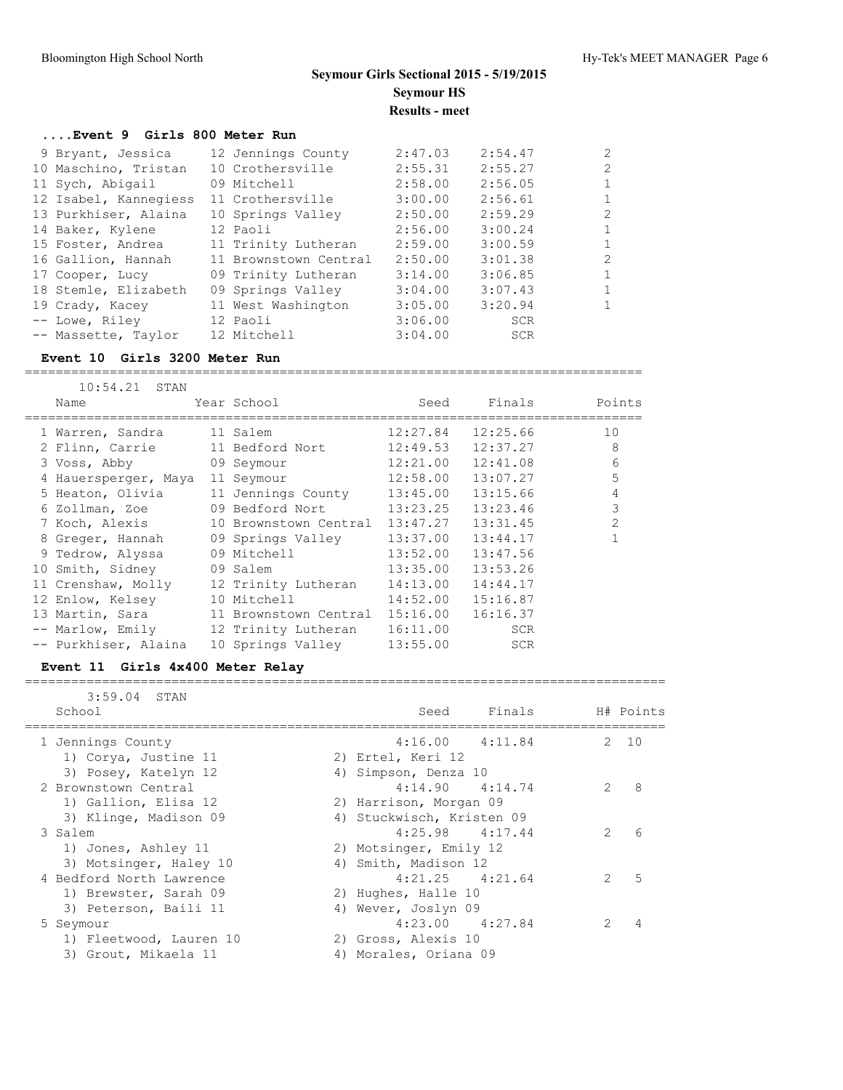## **....Event 9 Girls 800 Meter Run**

| 9 Bryant, Jessica     | 12 Jennings County    | 2:47.03 | 2:54.47    | $\mathcal{P}$ |
|-----------------------|-----------------------|---------|------------|---------------|
| 10 Maschino, Tristan  | 10 Crothersville      | 2:55.31 | 2:55.27    | $\mathcal{L}$ |
| 11 Sych, Abigail      | 09 Mitchell           | 2:58.00 | 2:56.05    |               |
| 12 Isabel, Kannegiess | 11 Crothersville      | 3:00.00 | 2:56.61    |               |
| 13 Purkhiser, Alaina  | 10 Springs Valley     | 2:50.00 | 2:59.29    | $\mathcal{P}$ |
| 14 Baker, Kylene      | 12 Paoli              | 2:56.00 | 3:00.24    |               |
| 15 Foster, Andrea     | 11 Trinity Lutheran   | 2:59.00 | 3:00.59    |               |
| 16 Gallion, Hannah    | 11 Brownstown Central | 2:50.00 | 3:01.38    | $\mathcal{P}$ |
| 17 Cooper, Lucy       | 09 Trinity Lutheran   | 3:14.00 | 3:06.85    |               |
| 18 Stemle, Elizabeth  | 09 Springs Valley     | 3:04.00 | 3:07.43    |               |
| 19 Crady, Kacey       | 11 West Washington    | 3:05.00 | 3:20.94    |               |
| -- Lowe, Riley        | 12 Paoli              | 3:06.00 | <b>SCR</b> |               |
| -- Massette, Taylor   | 12 Mitchell           | 3:04.00 | <b>SCR</b> |               |

### **Event 10 Girls 3200 Meter Run**

================================================================================

| 10:54.21 STAN        |                       |          |            |                |
|----------------------|-----------------------|----------|------------|----------------|
| Name                 | Year School           | Seed     | Finals     | Points         |
| 1 Warren, Sandra     | 11 Salem              | 12:27.84 | 12:25.66   | 10             |
| 2 Flinn, Carrie      | 11 Bedford Nort       | 12:49.53 | 12:37.27   | 8              |
| 3 Voss, Abby         | 09 Seymour            | 12:21.00 | 12:41.08   | 6              |
| 4 Hauersperger, Maya | 11 Seymour            | 12:58.00 | 13:07.27   | 5              |
| 5 Heaton, Olivia     | 11 Jennings County    | 13:45.00 | 13:15.66   | 4              |
| 6 Zollman, Zoe       | 09 Bedford Nort       | 13:23.25 | 13:23.46   | 3              |
| 7 Koch, Alexis       | 10 Brownstown Central | 13:47.27 | 13:31.45   | $\overline{2}$ |
| 8 Greger, Hannah     | 09 Springs Valley     | 13:37.00 | 13:44.17   |                |
| 9 Tedrow, Alyssa     | 09 Mitchell           | 13:52.00 | 13:47.56   |                |
| 10 Smith, Sidney     | 09 Salem              | 13:35.00 | 13:53.26   |                |
| 11 Crenshaw, Molly   | 12 Trinity Lutheran   | 14:13.00 | 14:44.17   |                |
| 12 Enlow, Kelsey     | 10 Mitchell           | 14:52.00 | 15:16.87   |                |
| 13 Martin, Sara      | 11 Brownstown Central | 15:16.00 | 16:16.37   |                |
| -- Marlow, Emily     | 12 Trinity Lutheran   | 16:11.00 | SCR        |                |
| -- Purkhiser, Alaina | 10 Springs Valley     | 13:55.00 | <b>SCR</b> |                |

#### **Event 11 Girls 4x400 Meter Relay**

| $3:59.04$ STAN<br>School | Finals<br>Seed            |               | H# Points |
|--------------------------|---------------------------|---------------|-----------|
| 1 Jennings County        | $4:16.00$ $4:11.84$       |               | 2, 10     |
| 1) Corya, Justine 11     | 2) Ertel, Keri 12         |               |           |
| 3) Posey, Katelyn 12     | 4) Simpson, Denza 10      |               |           |
| 2 Brownstown Central     | $4:14.90$ $4:14.74$       | $\mathcal{P}$ | 8         |
| 1) Gallion, Elisa 12     | 2) Harrison, Morgan 09    |               |           |
| 3) Klinge, Madison 09    | 4) Stuckwisch, Kristen 09 |               |           |
| 3 Salem                  | $4:25.98$ $4:17.44$       | $\mathcal{L}$ | 6         |
| 1) Jones, Ashley 11      | 2) Motsinger, Emily 12    |               |           |
| 3) Motsinger, Haley 10   | 4) Smith, Madison 12      |               |           |
| 4 Bedford North Lawrence | $4:21.25$ $4:21.64$       | $\mathcal{P}$ | 5         |
| 1) Brewster, Sarah 09    | 2) Hughes, Halle 10       |               |           |
| 3) Peterson, Baili 11    | 4) Wever, Joslyn 09       |               |           |
| 5 Seymour                | $4:23.00$ $4:27.84$       | $\mathcal{P}$ | 4         |
| 1) Fleetwood, Lauren 10  | 2) Gross, Alexis 10       |               |           |
| 3) Grout, Mikaela 11     | 4) Morales, Oriana 09     |               |           |
|                          |                           |               |           |

===================================================================================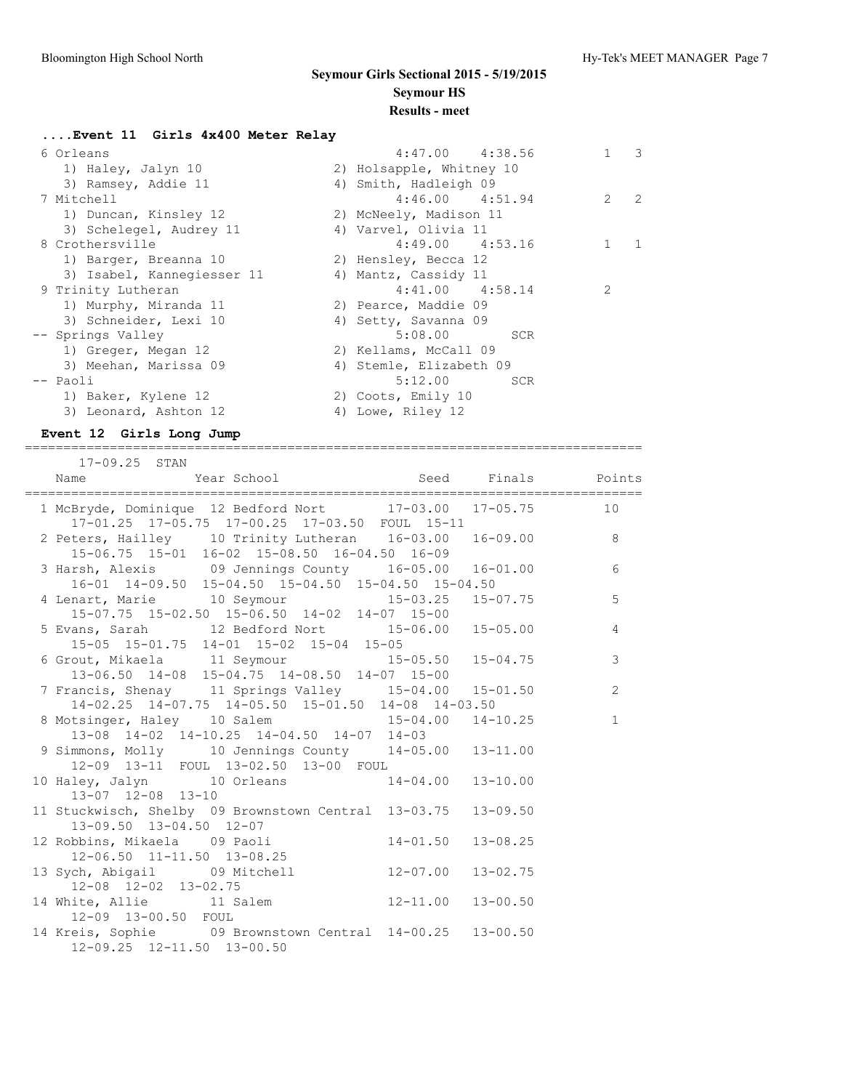## **....Event 11 Girls 4x400 Meter Relay** 6 Orleans 4:47.00 4:38.56 1 3 1) Haley, Jalyn 10 2) Holsapple, Whitney 10 3) Ramsey, Addie 11 4) Smith, Hadleigh 09 7 Mitchell 4:46.00 4:51.94 2 2 1) Duncan, Kinsley 12 2) McNeely, Madison 11 3) Schelegel, Audrey 11 (4) Varvel, Olivia 11 8 Crothersville 4:49.00 4:53.16 1 1 1) Barger, Breanna 10 2) Hensley, Becca 12 3) Isabel, Kannegiesser 11  $\hskip1cm$  4) Mantz, Cassidy 11 9 Trinity Lutheran 4:41.00 4:58.14 2 1) Murphy, Miranda 11 120 29 Pearce, Maddie 09 3) Schneider, Lexi 10 (4) Setty, Savanna 09 -- Springs Valley 5:08.00 SCR 1) Greger, Megan 12 2) Kellams, McCall 09 3) Meehan, Marissa 09 4) Stemle, Elizabeth 09 -- Paoli 5:12.00 SCR 1) Baker, Kylene 12 2) Coots, Emily 10 3) Leonard, Ashton 12 4) Lowe, Riley 12

### **Event 12 Girls Long Jump**

================================================================================ 17-09.25 STAN

| TILOD. TO PILMIM                                                                                                                           |                           |              |                 |
|--------------------------------------------------------------------------------------------------------------------------------------------|---------------------------|--------------|-----------------|
| 1 McBryde, Dominique 12 Bedford Nort 17-03.00 17-05.75 10<br>17-01.25 17-05.75 17-00.25 17-03.50 FOUL 15-11                                |                           |              |                 |
| 2 Peters, Hailley 10 Trinity Lutheran $16-03.00$ $16-09.00$ 8<br>15-06.75 15-01 16-02 15-08.50 16-04.50 16-09                              |                           |              |                 |
| 3 Harsh, Alexis 09 Jennings County 16-05.00 16-01.00<br>16-01 14-09.50 15-04.50 15-04.50 15-04.50 15-04.50                                 |                           |              | $6\overline{6}$ |
| 4 Lenart, Marie 10 Seymour 15-03.25 15-07.75<br>$15-07.75$ $15-02.50$ $15-06.50$ $14-02$ $14-07$ $15-00$                                   |                           |              | 5               |
| 5 Evans, Sarah 12 Bedford Nort 15-06.00 15-05.00<br>15-05 15-01.75 14-01 15-02 15-04 15-05                                                 |                           |              | 4               |
| 6 Grout, Mikaela 11 Seymour 13-04 15-05.50 15-04.75<br>13-06.50 14-08 15-04.75 14-08.50 14-07 15-00<br>7 Francis Sheppy 11 C               |                           |              | 3               |
| 7 Francis, Shenay 11 Springs Valley 15-04.00 15-01.50<br>14-02.25 14-07.75 14-05.50 15-01.50 14-08 14-03.50                                |                           |              | $\overline{2}$  |
| 8 Motsinger, Haley 10 Salem 15-04.00 14-10.25                                                                                              |                           |              | $\mathbf{1}$    |
| 13-08 14-02 14-10.25 14-04.50 14-07 14-03<br>9 Simmons, Molly 10 Jennings County 14-05.00 13-11.00<br>12-09 13-11 FOUL 13-02.50 13-00 FOUL |                           |              |                 |
| 10 Haley, Jalyn 10 Orleans 14-04.00 13-10.00<br>13-07 12-08 13-10                                                                          |                           |              |                 |
| 11 Stuckwisch, Shelby 09 Brownstown Central 13-03.75 13-09.50<br>13-09.50 13-04.50 12-07                                                   |                           |              |                 |
| 12 Robbins, Mikaela 09 Paoli<br>12-06.50 11-11.50 13-08.25                                                                                 | $14 - 01.50$ $13 - 08.25$ |              |                 |
| 13 Sych, Abigail 09 Mitchell 12-07.00<br>$12-08$ $12-02$ $13-02.75$                                                                        |                           | $13 - 02.75$ |                 |
| 14 White, Allie 11 Salem 12-11.00 13-00.50<br>12-09 13-00.50 FOUL                                                                          |                           |              |                 |
| 14 Kreis, Sophie 09 Brownstown Central 14-00.25 13-00.50<br>12-09.25 12-11.50 13-00.50                                                     |                           |              |                 |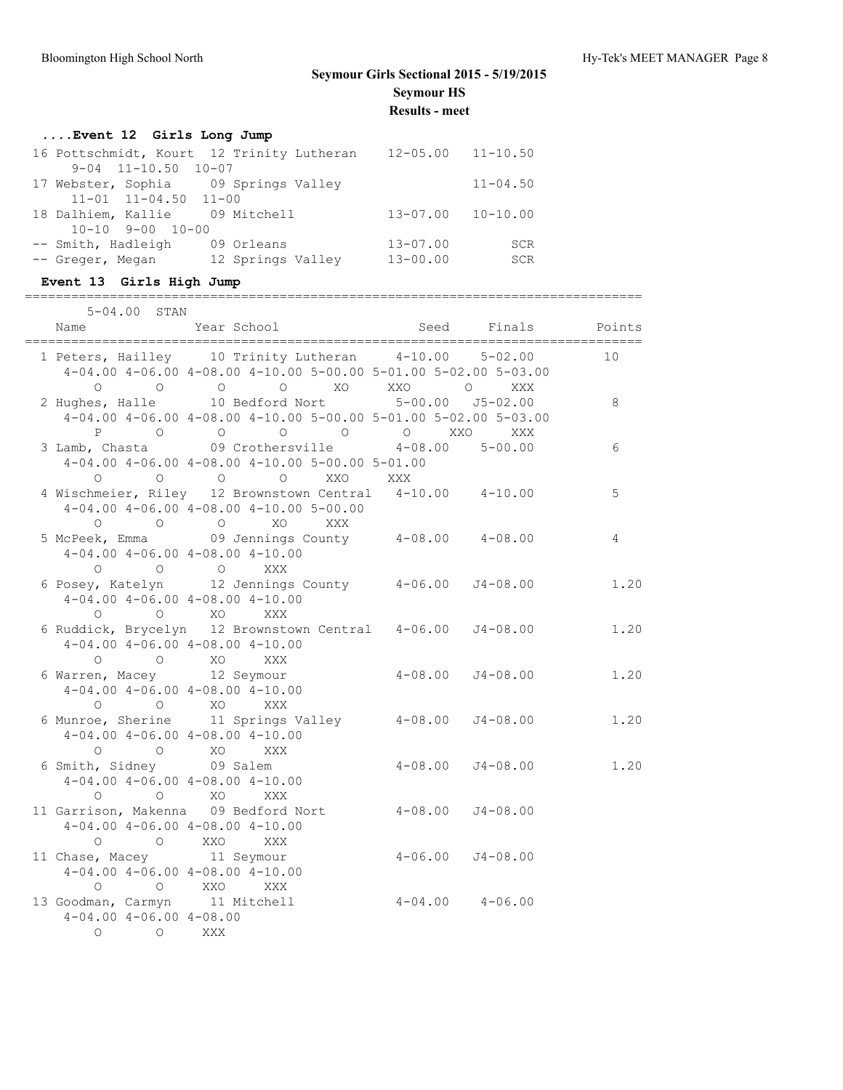## **....Event 12 Girls Long Jump**

| 16 Pottschmidt, Kourt 12 Trinity Lutheran |                   | $12 - 05.00$ $11 - 10.50$ |              |
|-------------------------------------------|-------------------|---------------------------|--------------|
| $9 - 04$ $11 - 10.50$ $10 - 07$           |                   |                           |              |
| 17 Webster, Sophia 09 Springs Valley      |                   |                           | $11 - 04.50$ |
| $11-01$ $11-04.50$ $11-00$                |                   |                           |              |
| 18 Dalhiem, Kallie 09 Mitchell            |                   | $13 - 07.00$ $10 - 10.00$ |              |
| $10 - 10$ 9-00 10-00                      |                   |                           |              |
| -- Smith, Hadleigh                        | 09 Orleans        | $13 - 07.00$              | <b>SCR</b>   |
| -- Greger, Megan                          | 12 Springs Valley | $13 - 00.00$              | <b>SCR</b>   |

## **Event 13 Girls High Jump**

#### ================================================================================ 5-04.00 STAN

| Name                                     | Year School                                                                                                                       | Seed                     | Finals       | Points         |
|------------------------------------------|-----------------------------------------------------------------------------------------------------------------------------------|--------------------------|--------------|----------------|
|                                          | 1 Peters, Hailley 10 Trinity Lutheran 4-10.00 5-02.00                                                                             |                          |              | 10             |
|                                          | $4-04.00$ $4-06.00$ $4-08.00$ $4-10.00$ $5-00.00$ $5-01.00$ $5-02.00$ $5-03.00$                                                   |                          |              |                |
|                                          | 0 0 0 0 0 XO XXO 0 XXX<br>2 Hughes, Halle 10 Bedford Nort 5-00.00 J5-02.00                                                        |                          |              |                |
|                                          |                                                                                                                                   |                          |              | 8              |
|                                          | 4-04.00 4-06.00 4-08.00 4-10.00 5-00.00 5-01.00 5-02.00 5-03.00                                                                   |                          |              |                |
|                                          | P 0 0 0 0 0 XXO                                                                                                                   |                          | <b>XXX</b>   |                |
|                                          | 3 Lamb, Chasta (99 Crothersville 4-08.00 5-00.00                                                                                  |                          |              | 6              |
|                                          | $4-04.00$ $4-06.00$ $4-08.00$ $4-10.00$ $5-00.00$ $5-01.00$                                                                       |                          |              |                |
|                                          | 0 0 0 0 0 XXO XXX<br>4 Wischmeier, Riley 12 Brownstown Central 4-10.00 4-10.00                                                    |                          |              |                |
|                                          |                                                                                                                                   |                          |              | 5              |
|                                          | $4-04.00$ $4-06.00$ $4-08.00$ $4-10.00$ $5-00.00$                                                                                 |                          |              |                |
|                                          | 0 0 0 XO<br>XXX                                                                                                                   |                          |              |                |
|                                          | 5 McPeek, Emma 69 Jennings County 4-08.00 4-08.00                                                                                 |                          |              | $\overline{4}$ |
|                                          | $4-04.00$ $4-06.00$ $4-08.00$ $4-10.00$                                                                                           |                          |              |                |
|                                          | 0 0 0 0 XXX<br>6 Posey, Katelyn 12 Jennings County 4-06.00 J4-08.00                                                               |                          |              |                |
|                                          |                                                                                                                                   |                          |              | 1.20           |
|                                          | $4-04.00$ $4-06.00$ $4-08.00$ $4-10.00$                                                                                           |                          |              |                |
|                                          | 0 0 XO XXX                                                                                                                        |                          |              |                |
|                                          | 6 Ruddick, Brycelyn 12 Brownstown Central 4-06.00 J4-08.00                                                                        |                          |              | 1.20           |
|                                          | $4-04.00$ $4-06.00$ $4-08.00$ $4-10.00$                                                                                           |                          |              |                |
|                                          | $O$ $O$ $XO$ $XXX$                                                                                                                |                          |              |                |
| 6 Warren, Macey 12 Seymour               |                                                                                                                                   | $4 - 08.00$ $J4 - 08.00$ |              | 1.20           |
|                                          | $4-04.00$ $4-06.00$ $4-08.00$ $4-10.00$                                                                                           |                          |              |                |
|                                          | $\begin{matrix} 0 & 0 & 0 \end{matrix} \qquad \begin{matrix} 0 & 0 & 0 \end{matrix} \qquad \begin{matrix} 0 & 0 & 0 \end{matrix}$ |                          |              |                |
|                                          | 6 Munroe, Sherine 11 Springs Valley 4-08.00 J4-08.00                                                                              |                          |              | 1.20           |
|                                          | $4-04.00$ $4-06.00$ $4-08.00$ $4-10.00$                                                                                           |                          |              |                |
| 0 0 0 XO XXX<br>6 Smith, Sidney 09 Salem |                                                                                                                                   |                          |              |                |
|                                          |                                                                                                                                   | $4 - 08.00$              | J4-08.00     | 1.20           |
|                                          | $4-04.00$ $4-06.00$ $4-08.00$ $4-10.00$                                                                                           |                          |              |                |
|                                          | O O XO XXX                                                                                                                        |                          |              |                |
|                                          | 11 Garrison, Makenna 09 Bedford Nort                                                                                              | $4 - 08.00$              | $J4 - 08.00$ |                |
|                                          | $4-04.00$ $4-06.00$ $4-08.00$ $4-10.00$                                                                                           |                          |              |                |
|                                          | $\begin{matrix} 0 & 0 & 0 \end{matrix}$                                                                                           |                          |              |                |
| 11 Chase, Macey 11 Seymour               |                                                                                                                                   | $4 - 06.00$ $J4 - 08.00$ |              |                |
|                                          | $4-04.00$ $4-06.00$ $4-08.00$ $4-10.00$                                                                                           |                          |              |                |
|                                          | O O XXO XXX                                                                                                                       |                          |              |                |
| 13 Goodman, Carmyn 11 Mitchell           |                                                                                                                                   | $4-04.00$ $4-06.00$      |              |                |
| $4-04.00$ $4-06.00$ $4-08.00$            |                                                                                                                                   |                          |              |                |
| O O XXX                                  |                                                                                                                                   |                          |              |                |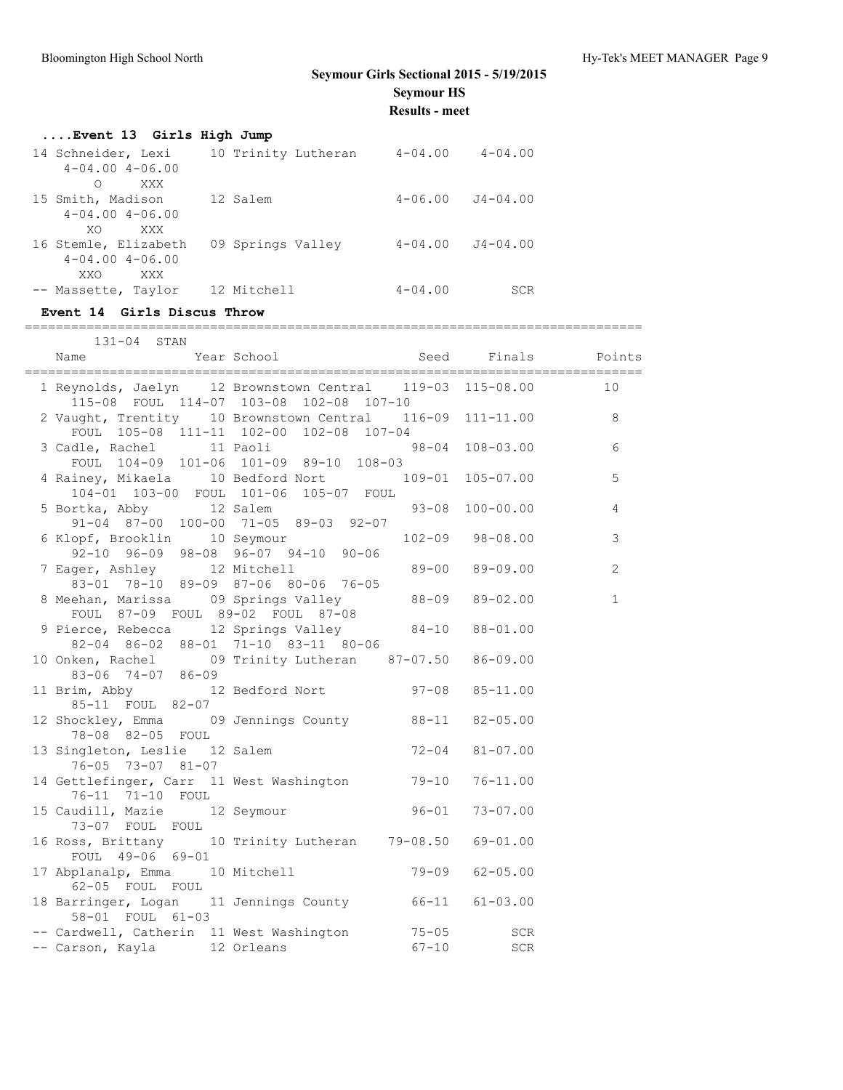| Event 13 Girls High Jump               |                   |             |                      |  |
|----------------------------------------|-------------------|-------------|----------------------|--|
| 14 Schneider, Lexi 10 Trinity Lutheran |                   | $4 - 04.00$ | $4 - 04.00$          |  |
| $4 - 04.00$ $4 - 06.00$                |                   |             |                      |  |
| XXX<br>∩                               |                   |             |                      |  |
| 15 Smith, Madison                      | 12 Salem          |             | $4-06.00$ $J4-04.00$ |  |
| $4 - 04.00$ $4 - 06.00$                |                   |             |                      |  |
| XXX<br>XO.                             |                   |             |                      |  |
| 16 Stemle, Elizabeth                   | 09 Springs Valley | $4 - 04.00$ | $J4 - 04.00$         |  |
| $4 - 04.00$ $4 - 06.00$                |                   |             |                      |  |
| XXO.<br>XXX                            |                   |             |                      |  |
| -- Massette, Taylor                    | 12 Mitchell       | $4 - 04.00$ | <b>SCR</b>           |  |

#### **Event 14 Girls Discus Throw**

================================================================================

| 131-04 STAN                                                                                 |                                                 |                 |              |
|---------------------------------------------------------------------------------------------|-------------------------------------------------|-----------------|--------------|
| Name                                                                                        | The second of the Seed Finals Points            |                 |              |
| 1 Reynolds, Jaelyn 12 Brownstown Central 119-03 115-08.00 10                                | 115-08 FOUL 114-07 103-08 102-08 107-10         |                 |              |
| 2 Vaught, Trentity 10 Brownstown Central 116-09 111-11.00                                   | FOUL 105-08 111-11 102-00 102-08 107-04         |                 | 8            |
| 3 Cadle, Rachel 11 Paoli 98-04 108-03.00<br>FOUL 104-09 101-06 101-09 89-10 108-03          |                                                 |                 | 6            |
| 4 Rainey, Mikaela 10 Bedford Nort 109-01 105-07.00                                          | 104-01 103-00 FOUL 101-06 105-07 FOUL           |                 | 5            |
| 5 Bortka, Abby 12 Salem                                                                     | 91-04 87-00 100-00 71-05 89-03 92-07            | 93-08 100-00.00 | 4            |
| 6 Klopf, Brooklin 10 Seymour<br>92-10 96-09 98-08 96-07 94-10 90-06                         |                                                 | 102-09 98-08.00 | 3            |
| 7 Eager, Ashley 12 Mitchell 69-00 89-09.00                                                  | 83-01 78-10 89-09 87-06 80-06 76-05             |                 | 2            |
| 8 Meehan, Marissa 09 Springs Valley 88-09 89-02.00<br>FOUL 87-09 FOUL 89-02 FOUL 87-08      |                                                 |                 | $\mathbf{1}$ |
| 9 Pierce, Rebecca 12 Springs Valley 84-10 88-01.00                                          | $82-04$ $86-02$ $88-01$ $71-10$ $83-11$ $80-06$ |                 |              |
| 10 Onken, Rachel 09 Trinity Lutheran 87-07.50 86-09.00<br>83-06 74-07 86-09                 |                                                 |                 |              |
| 11 Brim, Abby 12 Bedford Nort 97-08 85-11.00<br>85-11 FOUL 82-07                            |                                                 |                 |              |
| 12 Shockley, Emma 09 Jennings County 88-11 82-05.00<br>78-08 82-05 FOUL                     |                                                 |                 |              |
| 13 Singleton, Leslie 12 Salem 72-04 81-07.00<br>76-05 73-07 81-07                           |                                                 |                 |              |
| 14 Gettlefinger, Carr 11 West Washington 79-10 76-11.00<br>76-11 71-10 FOUL                 |                                                 |                 |              |
| 15 Caudill, Mazie 12 Seymour 96-01 73-07.00<br>73-07 FOUL FOUL                              |                                                 |                 |              |
| 16 Ross, Brittany 10 Trinity Lutheran 79-08.50 69-01.00<br>FOUL 49-06 69-01                 |                                                 |                 |              |
| 17 Abplanalp, Emma 10 Mitchell (1990) 79-09 62-05.00<br>62-05 FOUL FOUL                     |                                                 |                 |              |
| 18 Barringer, Logan 11 Jennings County 66-11 61-03.00<br>58-01 FOUL 61-03                   |                                                 |                 |              |
| -- Cardwell, Catherin 11 West Washington 55-05 SCR<br>-- Carson, Kayla 12 Orleans 67-10 SCR |                                                 |                 |              |
|                                                                                             |                                                 |                 |              |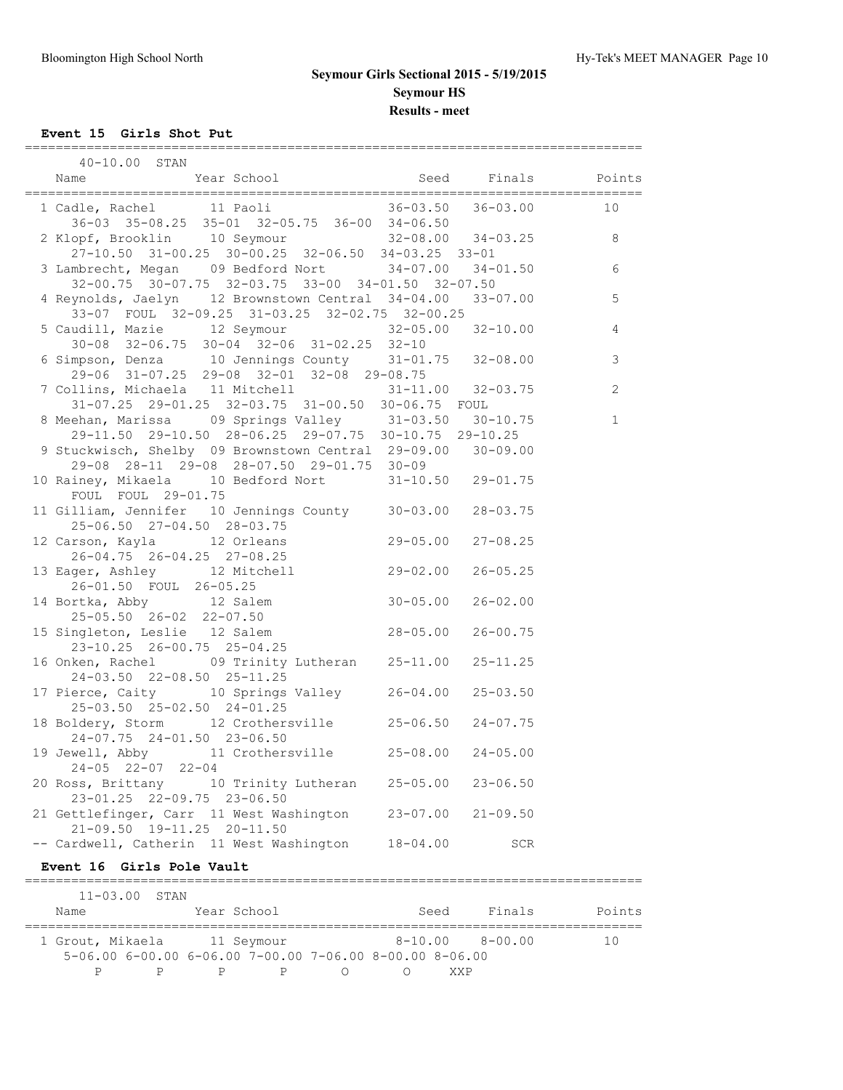**Event 15 Girls Shot Put**

| 40-10.00 STAN                                                                                                                                                      |              |                     |                             |
|--------------------------------------------------------------------------------------------------------------------------------------------------------------------|--------------|---------------------|-----------------------------|
| Name Year School                                                                                                                                                   |              | Seed Finals         | Points                      |
| 1 Cadle, Rachel 11 Paoli 36-03.50 36-03.00<br>36-03 35-08.25 35-01 32-05.75 36-00 34-06.50                                                                         |              |                     | 10                          |
| 2 Klopf, Brooklin 10 Seymour 32-08.00 34-03.25 8<br>27-10.50 31-00.25 30-00.25 32-06.50 34-03.25 33-01                                                             |              |                     |                             |
| 3 Lambrecht, Megan 09 Bedford Nort 34-07.00 34-01.50                                                                                                               |              |                     | $\sqrt{6}$                  |
| 32-00.75 30-07.75 32-03.75 33-00 34-01.50 32-07.50<br>4 Reynolds, Jaelyn 12 Brownstown Central 34-04.00 33-07.00<br>33-07 FOUL 32-09.25 31-03.25 32-02.75 32-00.25 |              |                     | 5                           |
| 5 Caudill, Mazie 12 Seymour 32-05.00 32-10.00<br>30-08 32-06.75 30-04 32-06 31-02.25 32-10                                                                         |              |                     | $\overline{4}$              |
| 6 Simpson, Denza 10 Jennings County 31-01.75 32-08.00<br>29-06 31-07.25 29-08 32-01 32-08 29-08.75                                                                 |              |                     | $\mathfrak{Z}$              |
| 7 Collins, Michaela 11 Mitchell 31-11.00 32-03.75<br>31-07.25 29-01.25 32-03.75 31-00.50 30-06.75 FOUL                                                             |              |                     | $\overline{c}$              |
| 8 Meehan, Marissa 09 Springs Valley 31-03.50 30-10.75<br>29-11.50 29-10.50 28-06.25 29-07.75 30-10.75 29-10.25                                                     |              |                     | $\mathbf{1}$                |
| 9 Stuckwisch, Shelby 09 Brownstown Central 29-09.00 30-09.00<br>29-08 28-11 29-08 28-07.50 29-01.75 30-09                                                          |              |                     |                             |
| 10 Rainey, Mikaela 10 Bedford Nort 31-10.50 29-01.75<br>FOUL FOUL 29-01.75                                                                                         |              |                     |                             |
| 11 Gilliam, Jennifer 10 Jennings County 30-03.00 28-03.75<br>25-06.50 27-04.50 28-03.75                                                                            |              |                     |                             |
| 12 Carson, Kayla 12 Orleans 29-05.00 27-08.25<br>26-04.75 26-04.25 27-08.25                                                                                        |              |                     |                             |
| 13 Eager, Ashley 12 Mitchell 29-02.00<br>26-01.50 FOUL 26-05.25<br>14 Bortka, Abby 12 Salem 30-05.00                                                               |              | $26 - 05.25$        |                             |
|                                                                                                                                                                    |              | $26 - 02.00$        |                             |
| 25-05.50 26-02 22-07.50<br>15 Singleton, Leslie 12 Salem 28-05.00<br>23-10.25 26-00.75 25-04.25                                                                    |              | $26 - 00.75$        |                             |
| 16 Onken, Rachel 09 Trinity Lutheran 25-11.00 25-11.25<br>24-03.50 22-08.50 25-11.25                                                                               |              |                     |                             |
| 17 Pierce, Caity 10 Springs Valley 26-04.00 25-03.50<br>25-03.50 25-02.50 24-01.25                                                                                 |              |                     |                             |
| 18 Boldery, Storm 12 Crothersville 25-06.50 24-07.75<br>24-07.75 24-01.50 23-06.50                                                                                 |              |                     |                             |
| 19 Jewell, Abby 11 Crothersville 25-08.00 24-05.00<br>$24 - 05$ $22 - 07$ $22 - 04$                                                                                |              |                     |                             |
| 20 Ross, Brittany 10 Trinity Lutheran 25-05.00<br>23-01.25 22-09.75 23-06.50                                                                                       |              | $23 - 06.50$        |                             |
| 21 Gettlefinger, Carr 11 West Washington<br>21-09.50 19-11.25 20-11.50                                                                                             | $23 - 07.00$ | $21 - 09.50$        |                             |
| -- Cardwell, Catherin 11 West Washington<br>Event 16 Girls Pole Vault                                                                                              | 18-04.00     | SCR                 |                             |
|                                                                                                                                                                    |              |                     |                             |
| $11 - 03.00$<br>STAN<br>Year School<br>Name                                                                                                                        | Seed         | Finals              | Points<br>================= |
| 1 Grout, Mikaela 11 Seymour<br>5-06.00 6-00.00 6-06.00 7-00.00 7-06.00 8-00.00 8-06.00                                                                             |              | $8-10.00$ $8-00.00$ | 10                          |

P P P P O O XXP